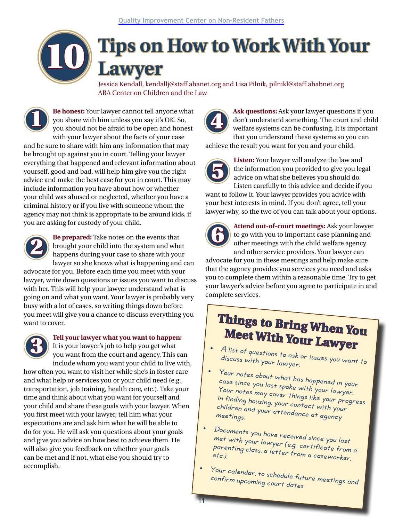# **Tips on How to Work With Your Lawyer**

Jessica Kendall, kendallj@staff.abanet.org and Lisa Pilnik, pilnikl@staff.ababnet.org ABA Center on Children and the Law

**Be honest:** Your lawyer cannot tell anyone what you share with him unless you say it's OK. So, you should not be afraid to be open and honest with your lawyer about the facts of your case and be sure to share with him any information that may be brought up against you in court. Telling your lawyer everything that happened and relevant information about yourself, good and bad, will help him give you the right advice and make the best case for you in court. This may include information you have about how or whether your child was abused or neglected, whether you have a criminal history or if you live with someone whom the agency may not think is appropriate to be around kids, if you are asking for custody of your child.  ${\bf \Xi}$ 

10



**Be prepared:** Take notes on the events that brought your child into the system and what happens during your case to share with your lawyer so she knows what is happening and can

advocate for you. Before each time you meet with your lawyer, write down questions or issues you want to discuss with her. This will help your lawyer understand what is going on and what you want. Your lawyer is probably very busy with a lot of cases, so writing things down before you meet will give you a chance to discuss everything you want to cover.



#### **Tell your lawyer what you want to happen:**

It is your lawyer's job to help you get what you want from the court and agency. This can include whom you want your child to live with,

how often you want to visit her while she's in foster care and what help or services you or your child need (e.g., transportation, job training, health care, etc.). Take your time and think about what you want for yourself and your child and share these goals with your lawyer. When you first meet with your lawyer, tell him what your expectations are and ask him what he will be able to do for you. He will ask you questions about your goals and give you advice on how best to achieve them. He will also give you feedback on whether your goals can be met and if not, what else you should try to accomplish.



**Ask questions:** Ask your lawyer questions if you don't understand something. The court and child welfare systems can be confusing. It is important that you understand these systems so you can

achieve the result you want for you and your child.



**Listen:** Your lawyer will analyze the law and the information you provided to give you legal advice on what she believes you should do. Listen carefully to this advice and decide if you

want to follow it. Your lawyer provides you advice with your best interests in mind. If you don't agree, tell your lawyer why, so the two of you can talk about your options.



**Attend out-of-court meetings:** Ask your lawyer to go with you to important case planning and other meetings with the child welfare agency and other service providers. Your lawyer can

advocate for you in these meetings and help make sure that the agency provides you services you need and asks you to complete them within a reasonable time. Try to get your lawyer's advice before you agree to participate in and complete services.

## **Things to Bring When You Meet With Your Lawyer**

• A list of questions to ask or issues you want to discuss with your lawyer.

• Your notes about what has happened in your case since you last spoke with your lawyer. Your notes may cover things like your progress in finding housing, your contact with your children and your attendance at agency meetings.

• Documents you have received since you last met with your lawyer (e.g., certificate from a parenting class, a letter from a caseworker,<br>etc.).

Your calendar, to schedule future meetings and confirm upcoming court dates.

11